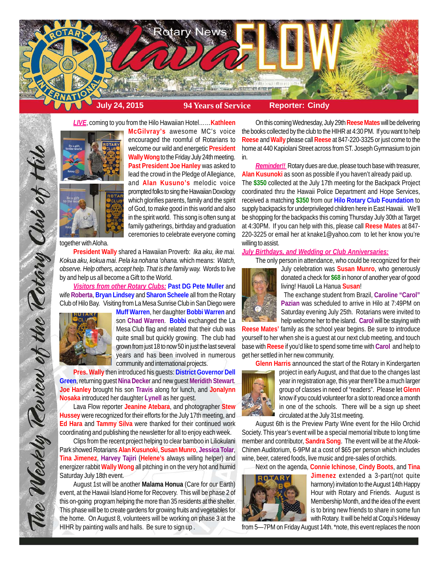

*LIVE*, coming to you from the Hilo Hawaiian Hotel……**Kathleen**



**McGilvray's** awesome MC's voice encouraged the roomful of Rotarians to welcome our wild and energetic **President Wally Wong** to the Friday July 24th meeting. **Past President Joe Hanley** was asked to lead the crowd in the Pledge of Allegiance, and **Alan Kusuno's** melodic voice prompted folks to sing the Hawaiian Doxology which glorifies parents, family and the spirit of God, to make good in this world and also in the spirit world. This song is often sung at family gatherings, birthday and graduation ceremonies to celebrate everyone coming

together with Aloha.

**President Wally** shared a Hawaiian Proverb: *Ika aku, ike mai. Kokua aku, kokua mai. Pela ka nohana 'ohana.* which means: *Watch, observe. Help others, accept help. That is the family way.* Words to live by and help us all become a Gift to the World.

*Visitors from other Rotary Clubs:* **Past DG Pete Muller** and wife **Roberta**, **Bryan Lindsey** and **Sharon Scheele** all from the Rotary Club of Hilo Bay. Visiting from La Mesa Sunrise Club in San Diego were



The Weekly Review of the Rotary Club of Hill

**Muff Warren**, her daughter **Bobbi Warren** and son **Chad Warren**. **Bobbi** exchanged the La Mesa Club flag and related that their club was quite small but quickly growing. The club had grown from just 18 to now 50 in just the last several years and has been involved in numerous community and international projects.

**Pres. Wally** then introduced his guests: **District Governor Dell Green**, returning guest **Nina Decke**r and new guest **Meridith Stewart**. **Joe Hanley** brought his son **Travis** along for lunch, and **Jonalynn Nosaka** introduced her daughter **Lynell** as her guest.

Lava Flow reporter **Jeanine Atebara**, and photographer **Stew Hussey** were recognized for their efforts for the July 17th meeting, and **Ed Hara** and **Tammy Silva** were thanked for their continued work coordinating and publishing the newsletter for all to enjoy each week.

Clips from the recent project helping to clear bamboo in Liliokulani Park showed Rotarians **Alan Kusunoki**, **Susan Munro**, **Jessica Tolar**, **Tina Jimenez**, **Harvey Tajiri** (**Helene's** always willing helper) and energizer rabbit **Wally Wong** all pitching in on the very hot and humid Saturday July 18th event.

August 1st will be another **Malama Honua** (Care for our Earth) event, at the Hawaii Island Home for Recovery. This will be phase 2 of this on-going program helping the more than 35 residents at the shelter. This phase will be to create gardens for growing fruits and vegetables for the home. On August 8, volunteers will be working on phase 3 at the HIHR by painting walls and halls. Be sure to sign up .

On this coming Wednesday, July 29th **Reese Mates** will be delivering the books collected by the club to the HIHR at 4:30 PM. If you want to help **Reese** and **Wally** please call **Reese** at 847-220-3325 or just come to the home at 440 Kapiolani Street across from ST. Joseph Gymnasium to join in.

*Reminder!!* Rotary dues are due, please touch base with treasurer, **Alan Kusunoki** as soon as possible if you haven't already paid up.

The **\$350** collected at the July 17th meeting for the Backpack Project coordinated thru the Hawaii Police Department and Hope Services, received a matching **\$350** from our **Hilo Rotary Club Foundation** to supply backpacks for underprivileged children here in East Hawaii. We'll be shopping for the backpacks this coming Thursday July 30th at Target at 4:30PM. If you can help with this, please call **Reese Mates** at 847- 220-3225 or email her at knake1@yahoo.com to let her know you're willing to assist.

### *July Birthdays, and Wedding or Club Anniversaries:*

The only person in attendance, who could be recognized for their



July celebration was **Susan Munro**, who generously donated a check for **\$68** in honor of another year of good living! Hauoli La Hanua **Susan**!

The exchange student from Brazil, **Caroline "Carol" Pazian** was scheduled to arrive in Hilo at 7:49PM on Saturday evening July 25th. Rotarians were invited to help welcome her to the island. **Carol** will be staying with

**Reese Mates'** family as the school year begins. Be sure to introduce yourself to her when she is a guest at our next club meeting, and touch base with **Reese** if you'd like to spend some time with **Carol** and help to get her settled in her new community.

**Glenn Harris** announced the start of the Rotary in Kindergarten



project in early August, and that due to the changes last year in registration age, this year there'll be a much larger group of classes in need of "readers". Please let **Glenn** know if you could volunteer for a slot to read once a month in one of the schools. There will be a sign up sheet circulated at the July 31st meeting.

August 6th is the Preview Party Wine event for the Hilo Orchid Society. This year's event will be a special memorial tribute to long time member and contributor, **Sandra Song**. The event will be at the Afook-Chinen Auditorium, 6-9PM at a cost of \$65 per person which includes wine, beer, catered foods, live music and pre-sales of orchids.

Next on the agenda, **Connie Ichinose**, **Cindy Boots**, and **Tina**



**Jimenez** extended a 3-part(not quite harmony) invitation to the August 14th Happy Hour with Rotary and Friends. August is Membership Month, and the idea of the event is to bring new friends to share in some fun with Rotary. It will be held at Coqui's Hideway

from 5—7PM on Friday August 14th. \*note, this event replaces the noon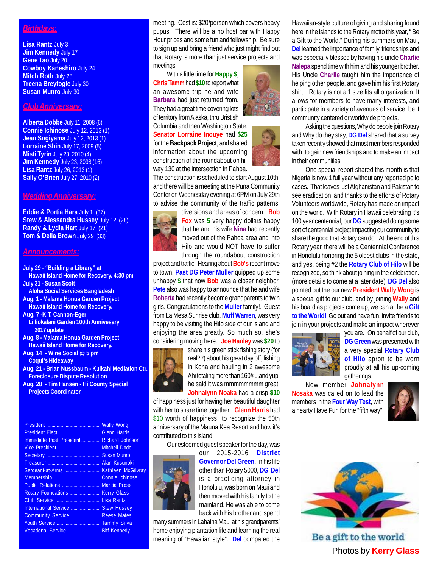# *Birthdays:*

**Lisa Rantz** July 3 **Jim Kennedy** July 17 **Gene Tao** July 20 **Cowboy Kaneshiro** July 24 **Mitch Roth** July 28 **Treena Breyfogle** July 30 **Susan Munro** July 30

## *Club Anniversary:*

**Alberta Dobbe** July 11, 2008 (6) **Connie Ichinose** July 12, 2013 (1) **Jean Sugiyama** July 12, 2013 (1) **Lorraine Shin** July 17, 2009 (5) **Misti Tyrin** July 23, 2010 (4) **Jim Kennedy** July 23, 2098 (16) **Lisa Rantz** July 26, 2013 (1) **Sally O'Brien** July 27, 2010 (2)

### *Wedding Anniversary:*

**Eddie & Portia Hara** July 1 (37) **Stew & Alessandra Hussey** July 12 (28) **Randy & Lydia Hart** July 17 (21) **Tom & Delia Brown** July 29 (33)

### *Announcements:*

- **July 29 "Building a Library" at Hawaii Island Home for Recovery. 4:30 pm July 31 - Susan Scott Aloha Social Services Bangladesh**
- **Aug. 1 Malama Honua Garden Project Hawaii Island Home for Recovery.**
- **Aug. 7 -K.T. Cannon-Eger Lilliokalani Garden 100th Annivesary**
- **2017 update Aug. 8 - Malama Honua Garden Project**
- **Hawaii Island Home for Recovery.**
- **Aug. 14 Wine Social @ 5 pm Coqui's Hideaway**
- **Aug. 21 Brian Nussbaum Kuikahi Mediation Ctr. Foreclosure Dispute Resolution**
- **Aug. 28 Tim Hansen Hi County Special Projects Coordinator**

| Immediate Past President Richard Johnson |  |
|------------------------------------------|--|
|                                          |  |
|                                          |  |
|                                          |  |
|                                          |  |
|                                          |  |
| Public Relations  Marcia Prose           |  |
| Rotary Foundations  Kerry Glass          |  |
|                                          |  |
| International Service  Stew Hussey       |  |
| Community Service  Reese Mates           |  |
|                                          |  |
| Vocational Service  Biff Kennedy         |  |

meeting. Cost is: \$20/person which covers heavy pupus. There will be a no host bar with Happy Hour prices and some fun and fellowship. Be sure to sign up and bring a friend who just might find out that Rotary is more than just service projects and meetings.

With a little time for **Happy \$**, **Chris Tamm** had **\$10** to report what an awesome trip he and wife **Barbara** had just returned from. They had a great time covering lots of territory from Alaska, thru Bristish

Columbia and then Washington State. **Senator Lorraine Inouye** had **\$25** for the **Backpack Project**, and shared information about the upcoming construction of the roundabout on hiway 130 at the intersection in Pahoa.

The construction is scheduled to start August 10th, and there will be a meeting at the Puna Community Center on Wednesday evening at 6PM on July 29th to advise the community of the traffic patterns,

diversions and areas of concern. **Bob Fox** was **5** very happy dollars happy that he and his wife **Nina** had recently moved out of the Pahoa area and into Hilo and would NOT have to suffer through the roundabout construction

project and traffic. Hearing about **Bob's** recent move to town, **Past DG Peter Muller** quipped up some unhappy **\$** that now **Bob** was a closer neighbor. **Pete** also was happy to announce that he and wife **Roberta** had recently become grandparents to twin girls. Congratulations to the **Muller** family!. Guest from La Mesa Sunrise club, **Muff Warren**, was very happy to be visiting the Hilo side of our island and enjoying the area greatly. So much so, she's considering moving here. **Joe Hanley** was **\$20** to



share his green stick fishing story (for real??) about his great day off, fishing in Kona and hauling in 2 awesome Ahi totaling more than 160# ...and yup, he said it was mmmmmmmm great! **Johnalynn Noaka** had a crisp **\$10**

of happiness just for having her beautiful daughter with her to share time together. **Glenn Harris** had \$10 worth of happiness to recognize the 50th anniversary of the Mauna Kea Resort and how it's contributed to this island.

Our esteemed guest speaker for the day, was



our 2015-2016 **District Governor Del Green**. In his life other than Rotary 5000, **DG Del** is a practicing attorney in Honolulu, was born on Maui and then moved with his family to the mainland. He was able to come back with his brother and spend

many summers in Lahaina Maui at his grandparents' home enjoying plantation life and learning the real meaning of "Hawaiian style". **Del** compared the

Hawaiian-style culture of giving and sharing found here in the islands to the Rotary motto this year, " Be a Gift to the World." During his summers on Maui, **Del** learned the importance of family, friendships and was especially blessed by having his uncle **Charlie Nalepa** spend time with him and his younger brother. His Uncle **Charlie** taught him the importance of helping other people, and gave him his first Rotary shirt. Rotary is not a 1 size fits all organization. It allows for members to have many interests, and participate in a variety of avenues of service, be it community centered or worldwide projects.

Asking the questions, Why do people join Rotary and Why do they stay, **DG Del** shared that a survey taken recently showed that most members responded with: to gain new friendships and to make an impact in their communities.

One special report shared this month is that Nigeria is now 1 full year without any reported polio cases. That leaves just Afghanistan and Pakistan to see eradication, and thanks to the efforts of Rotary Volunteers worldwide, Rotary has made an impact on the world. With Rotary in Hawaii celebrating it's 100 year centennial, our **DG** suggested doing some sort of centennial project impacting our community to share the good that Rotary can do. At the end of this Rotary year, there will be a Centennial Conference in Honolulu honoring the 5 oldest clubs in the state, and yes, being #2 the **Rotary Club of Hilo** will be recognized, so think about joining in the celebration. (more details to come at a later date) **DG Del** also pointed out the our new **President Wally Wong** is a special gift to our club, and by joining **Wally** and his board as projects come up, we can all be a **Gift to the World!** Go out and have fun, invite friends to join in your projects and make an impact wherever



you are. On behalf of our club, **DG Green** was presented with a very special **Rotary Club of Hilo** apron to be worn proudly at all his up-coming gatherings.

New member **Johnalynn Nosaka** was called on to lead the members in the **Four Way Test**, with a hearty Have Fun for the "fifth way".





Be a gift to the world Photos by **Kerry Glass**